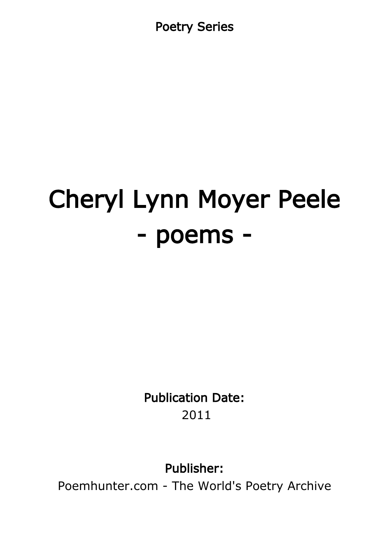Poetry Series

# Cheryl Lynn Moyer Peele - poems -

Publication Date: 2011

Publisher:

Poemhunter.com - The World's Poetry Archive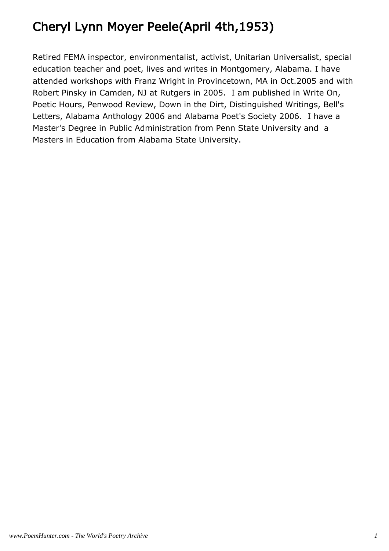# Cheryl Lynn Moyer Peele(April 4th,1953)

Retired FEMA inspector, environmentalist, activist, Unitarian Universalist, special education teacher and poet, lives and writes in Montgomery, Alabama. I have attended workshops with Franz Wright in Provincetown, MA in Oct.2005 and with Robert Pinsky in Camden, NJ at Rutgers in 2005. I am published in Write On, Poetic Hours, Penwood Review, Down in the Dirt, Distinguished Writings, Bell's Letters, Alabama Anthology 2006 and Alabama Poet's Society 2006. I have a Master's Degree in Public Administration from Penn State University and a Masters in Education from Alabama State University.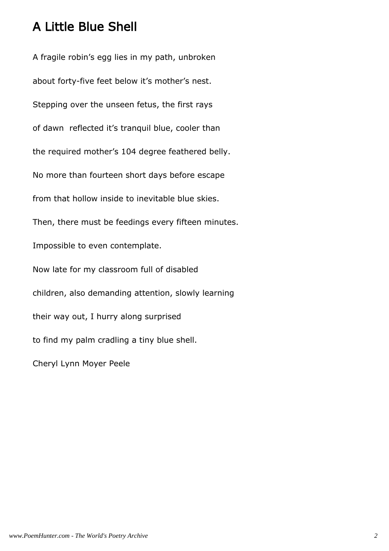#### A Little Blue Shell

A fragile robin's egg lies in my path, unbroken about forty-five feet below it's mother's nest. Stepping over the unseen fetus, the first rays of dawn reflected it's tranquil blue, cooler than the required mother's 104 degree feathered belly. No more than fourteen short days before escape from that hollow inside to inevitable blue skies. Then, there must be feedings every fifteen minutes. Impossible to even contemplate. Now late for my classroom full of disabled children, also demanding attention, slowly learning their way out, I hurry along surprised to find my palm cradling a tiny blue shell. Cheryl Lynn Moyer Peele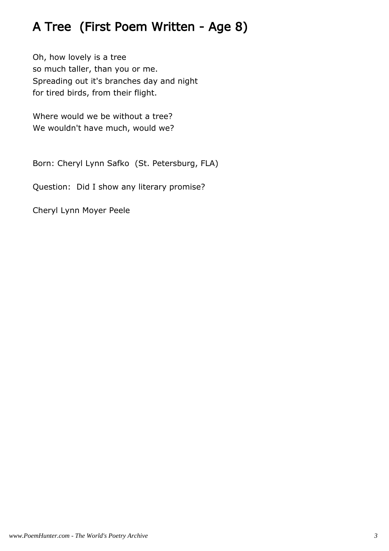# A Tree (First Poem Written - Age 8)

Oh, how lovely is a tree so much taller, than you or me. Spreading out it's branches day and night for tired birds, from their flight.

Where would we be without a tree? We wouldn't have much, would we?

Born: Cheryl Lynn Safko (St. Petersburg, FLA)

Question: Did I show any literary promise?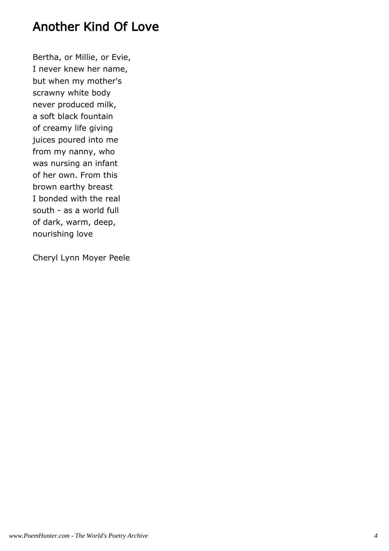#### Another Kind Of Love

Bertha, or Millie, or Evie, I never knew her name, but when my mother's scrawny white body never produced milk, a soft black fountain of creamy life giving juices poured into me from my nanny, who was nursing an infant of her own. From this brown earthy breast I bonded with the real south - as a world full of dark, warm, deep, nourishing love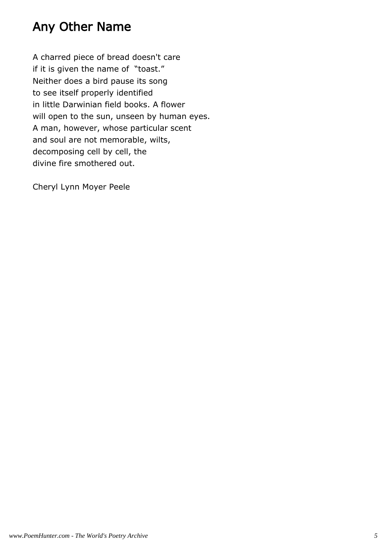#### Any Other Name

A charred piece of bread doesn't care if it is given the name of "toast." Neither does a bird pause its song to see itself properly identified in little Darwinian field books. A flower will open to the sun, unseen by human eyes. A man, however, whose particular scent and soul are not memorable, wilts, decomposing cell by cell, the divine fire smothered out.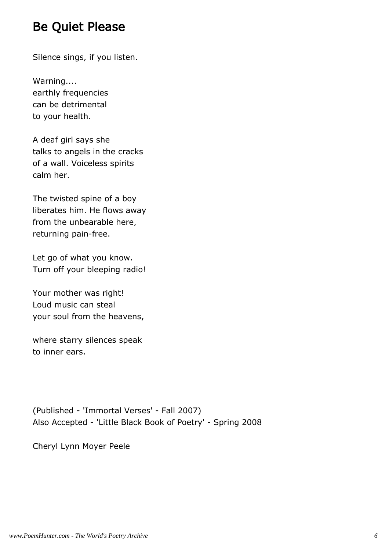#### Be Quiet Please

Silence sings, if you listen.

Warning.... earthly frequencies can be detrimental to your health.

A deaf girl says she talks to angels in the cracks of a wall. Voiceless spirits calm her.

The twisted spine of a boy liberates him. He flows away from the unbearable here, returning pain-free.

Let go of what you know. Turn off your bleeping radio!

Your mother was right! Loud music can steal your soul from the heavens,

where starry silences speak to inner ears.

(Published - 'Immortal Verses' - Fall 2007) Also Accepted - 'Little Black Book of Poetry' - Spring 2008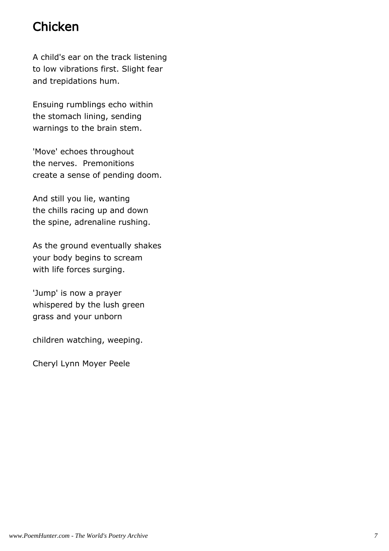# **Chicken**

A child's ear on the track listening to low vibrations first. Slight fear and trepidations hum.

Ensuing rumblings echo within the stomach lining, sending warnings to the brain stem.

'Move' echoes throughout the nerves. Premonitions create a sense of pending doom.

And still you lie, wanting the chills racing up and down the spine, adrenaline rushing.

As the ground eventually shakes your body begins to scream with life forces surging.

'Jump' is now a prayer whispered by the lush green grass and your unborn

children watching, weeping.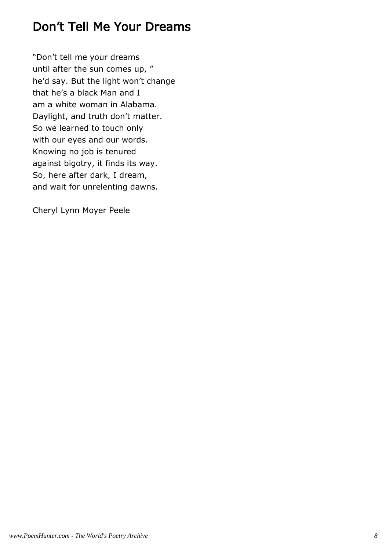# Don't Tell Me Your Dreams

"Don't tell me your dreams until after the sun comes up, " he'd say. But the light won't change that he's a black Man and I am a white woman in Alabama. Daylight, and truth don't matter. So we learned to touch only with our eyes and our words. Knowing no job is tenured against bigotry, it finds its way. So, here after dark, I dream, and wait for unrelenting dawns.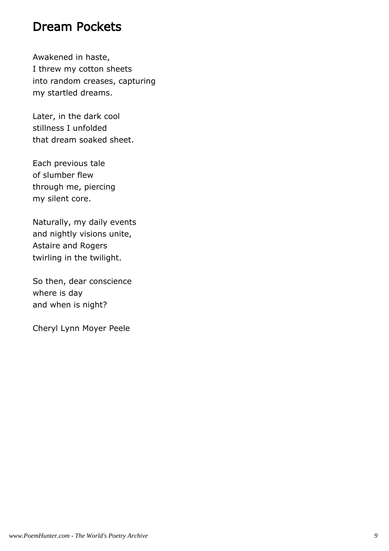#### Dream Pockets

Awakened in haste, I threw my cotton sheets into random creases, capturing my startled dreams.

Later, in the dark cool stillness I unfolded that dream soaked sheet.

Each previous tale of slumber flew through me, piercing my silent core.

Naturally, my daily events and nightly visions unite, Astaire and Rogers twirling in the twilight.

So then, dear conscience where is day and when is night?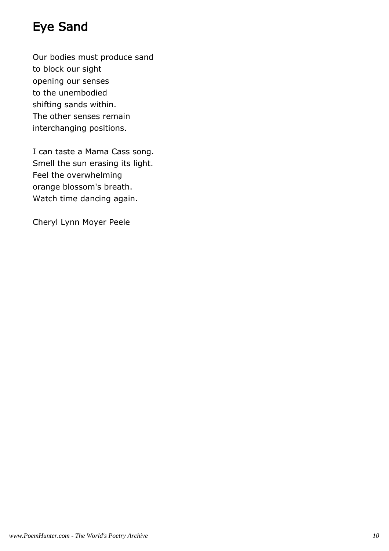# Eye Sand

Our bodies must produce sand to block our sight opening our senses to the unembodied shifting sands within. The other senses remain interchanging positions.

I can taste a Mama Cass song. Smell the sun erasing its light. Feel the overwhelming orange blossom's breath. Watch time dancing again.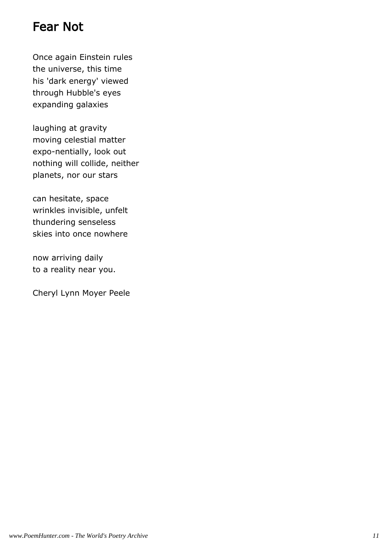# Fear Not

Once again Einstein rules the universe, this time his 'dark energy' viewed through Hubble's eyes expanding galaxies

laughing at gravity moving celestial matter expo-nentially, look out nothing will collide, neither planets, nor our stars

can hesitate, space wrinkles invisible, unfelt thundering senseless skies into once nowhere

now arriving daily to a reality near you.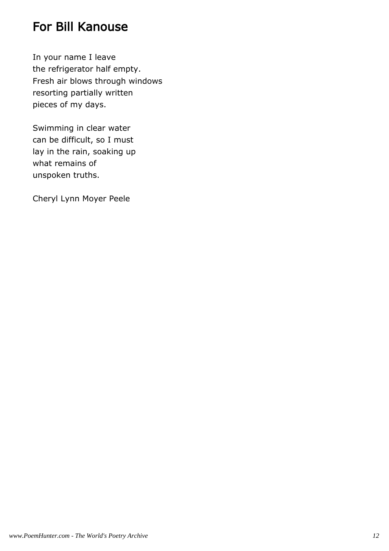#### For Bill Kanouse

In your name I leave the refrigerator half empty. Fresh air blows through windows resorting partially written pieces of my days.

Swimming in clear water can be difficult, so I must lay in the rain, soaking up what remains of unspoken truths.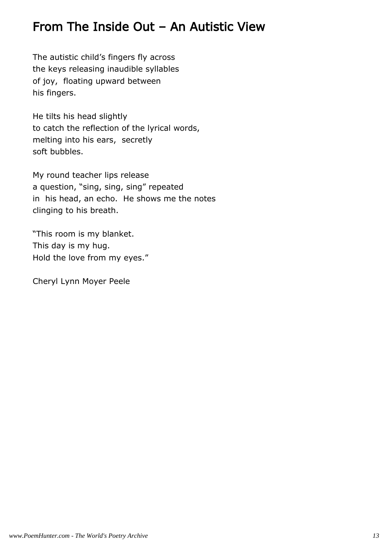#### From The Inside Out – An Autistic View

The autistic child's fingers fly across the keys releasing inaudible syllables of joy, floating upward between his fingers.

He tilts his head slightly to catch the reflection of the lyrical words, melting into his ears, secretly soft bubbles.

My round teacher lips release a question, "sing, sing, sing" repeated in his head, an echo. He shows me the notes clinging to his breath.

"This room is my blanket. This day is my hug. Hold the love from my eyes."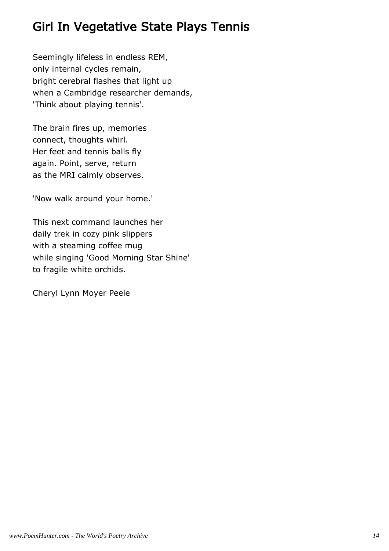# Girl In Vegetative State Plays Tennis

Seemingly lifeless in endless REM, only internal cycles remain, bright cerebral flashes that light up when a Cambridge researcher demands, 'Think about playing tennis'.

The brain fires up, memories connect, thoughts whirl. Her feet and tennis balls fly again. Point, serve, return as the MRI calmly observes.

'Now walk around your home.'

This next command launches her daily trek in cozy pink slippers with a steaming coffee mug while singing 'Good Morning Star Shine' to fragile white orchids.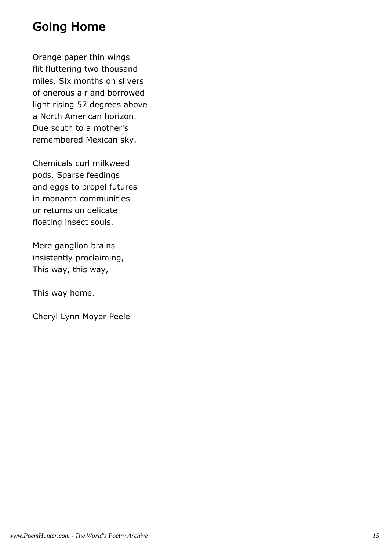# Going Home

Orange paper thin wings flit fluttering two thousand miles. Six months on slivers of onerous air and borrowed light rising 57 degrees above a North American horizon. Due south to a mother's remembered Mexican sky.

Chemicals curl milkweed pods. Sparse feedings and eggs to propel futures in monarch communities or returns on delicate floating insect souls.

Mere ganglion brains insistently proclaiming, This way, this way,

This way home.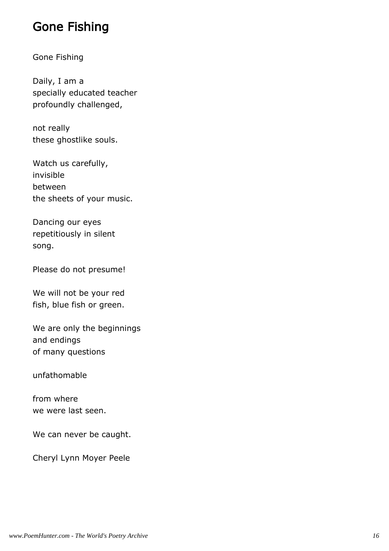#### Gone Fishing

#### Gone Fishing

Daily, I am a specially educated teacher profoundly challenged,

not really these ghostlike souls.

Watch us carefully, invisible between the sheets of your music.

Dancing our eyes repetitiously in silent song.

Please do not presume!

We will not be your red fish, blue fish or green.

We are only the beginnings and endings of many questions

unfathomable

from where we were last seen.

We can never be caught.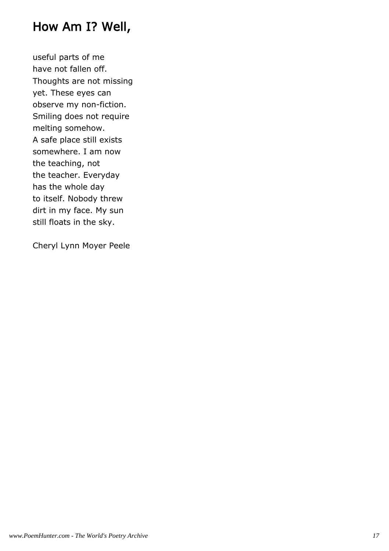#### How Am I? Well,

useful parts of me have not fallen off. Thoughts are not missing yet. These eyes can observe my non-fiction. Smiling does not require melting somehow. A safe place still exists somewhere. I am now the teaching, not the teacher. Everyday has the whole day to itself. Nobody threw dirt in my face. My sun still floats in the sky.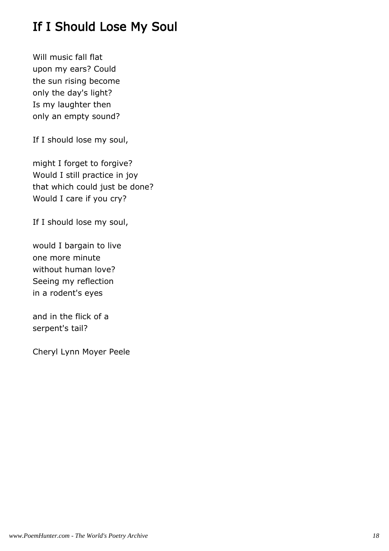# If I Should Lose My Soul

Will music fall flat upon my ears? Could the sun rising become only the day's light? Is my laughter then only an empty sound?

If I should lose my soul,

might I forget to forgive? Would I still practice in joy that which could just be done? Would I care if you cry?

If I should lose my soul,

would I bargain to live one more minute without human love? Seeing my reflection in a rodent's eyes

and in the flick of a serpent's tail?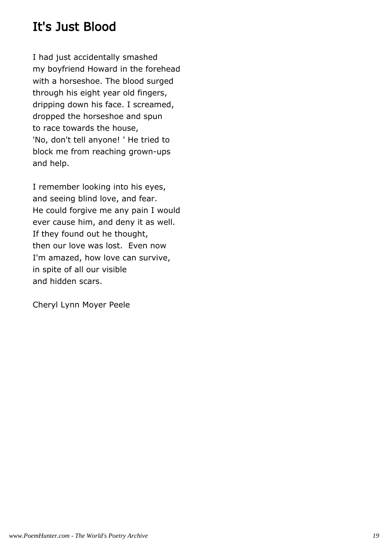# It's Just Blood

I had just accidentally smashed my boyfriend Howard in the forehead with a horseshoe. The blood surged through his eight year old fingers, dripping down his face. I screamed, dropped the horseshoe and spun to race towards the house, 'No, don't tell anyone! ' He tried to block me from reaching grown-ups and help.

I remember looking into his eyes, and seeing blind love, and fear. He could forgive me any pain I would ever cause him, and deny it as well. If they found out he thought, then our love was lost. Even now I'm amazed, how love can survive, in spite of all our visible and hidden scars.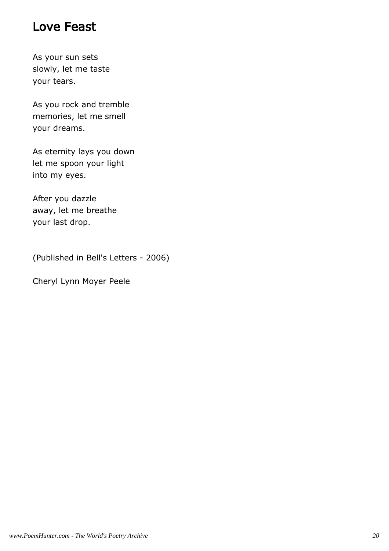#### Love Feast

As your sun sets slowly, let me taste your tears.

As you rock and tremble memories, let me smell your dreams.

As eternity lays you down let me spoon your light into my eyes.

After you dazzle away, let me breathe your last drop.

(Published in Bell's Letters - 2006)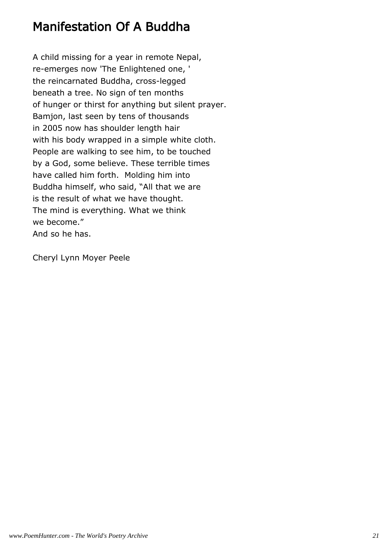#### Manifestation Of A Buddha

A child missing for a year in remote Nepal, re-emerges now 'The Enlightened one, ' the reincarnated Buddha, cross-legged beneath a tree. No sign of ten months of hunger or thirst for anything but silent prayer. Bamjon, last seen by tens of thousands in 2005 now has shoulder length hair with his body wrapped in a simple white cloth. People are walking to see him, to be touched by a God, some believe. These terrible times have called him forth. Molding him into Buddha himself, who said, "All that we are is the result of what we have thought. The mind is everything. What we think we become." And so he has.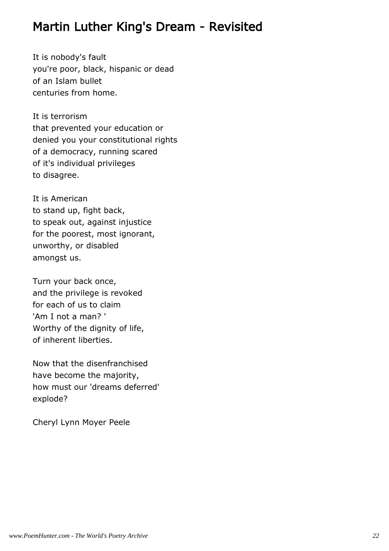#### Martin Luther King's Dream - Revisited

It is nobody's fault you're poor, black, hispanic or dead of an Islam bullet centuries from home.

It is terrorism that prevented your education or denied you your constitutional rights of a democracy, running scared of it's individual privileges to disagree.

It is American to stand up, fight back, to speak out, against injustice for the poorest, most ignorant, unworthy, or disabled amongst us.

Turn your back once, and the privilege is revoked for each of us to claim 'Am I not a man? ' Worthy of the dignity of life, of inherent liberties.

Now that the disenfranchised have become the majority, how must our 'dreams deferred' explode?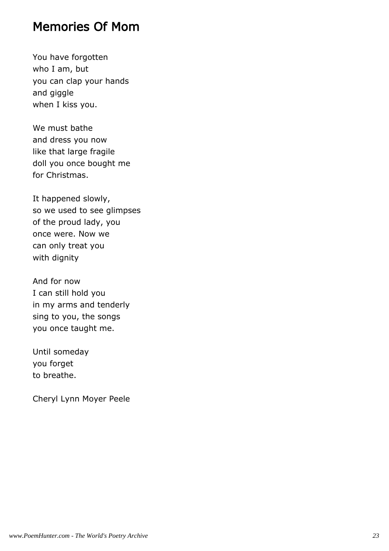#### Memories Of Mom

You have forgotten who I am, but you can clap your hands and giggle when I kiss you.

We must bathe and dress you now like that large fragile doll you once bought me for Christmas.

It happened slowly, so we used to see glimpses of the proud lady, you once were. Now we can only treat you with dignity

And for now I can still hold you in my arms and tenderly sing to you, the songs you once taught me.

Until someday you forget to breathe.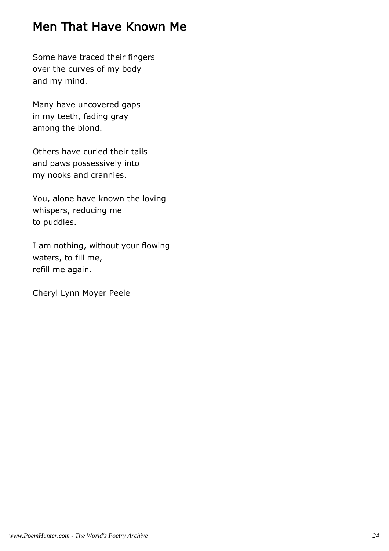# Men That Have Known Me

Some have traced their fingers over the curves of my body and my mind.

Many have uncovered gaps in my teeth, fading gray among the blond.

Others have curled their tails and paws possessively into my nooks and crannies.

You, alone have known the loving whispers, reducing me to puddles.

I am nothing, without your flowing waters, to fill me, refill me again.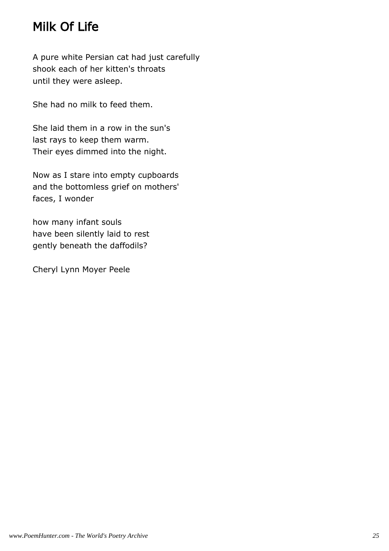# Milk Of Life

A pure white Persian cat had just carefully shook each of her kitten's throats until they were asleep.

She had no milk to feed them.

She laid them in a row in the sun's last rays to keep them warm. Their eyes dimmed into the night.

Now as I stare into empty cupboards and the bottomless grief on mothers' faces, I wonder

how many infant souls have been silently laid to rest gently beneath the daffodils?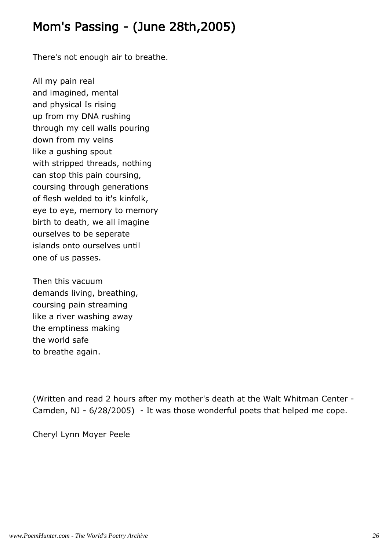### Mom's Passing - (June 28th,2005)

There's not enough air to breathe.

All my pain real and imagined, mental and physical Is rising up from my DNA rushing through my cell walls pouring down from my veins like a gushing spout with stripped threads, nothing can stop this pain coursing, coursing through generations of flesh welded to it's kinfolk, eye to eye, memory to memory birth to death, we all imagine ourselves to be seperate islands onto ourselves until one of us passes.

Then this vacuum demands living, breathing, coursing pain streaming like a river washing away the emptiness making the world safe to breathe again.

(Written and read 2 hours after my mother's death at the Walt Whitman Center - Camden, NJ - 6/28/2005) - It was those wonderful poets that helped me cope.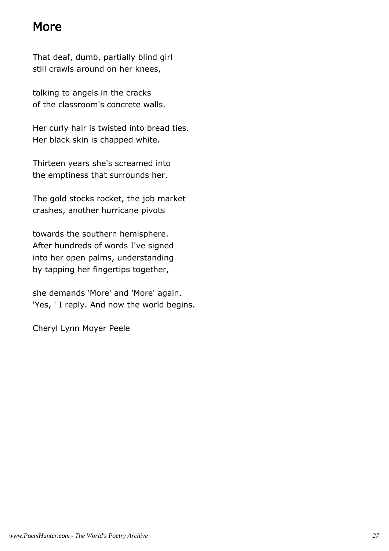#### More

That deaf, dumb, partially blind girl still crawls around on her knees,

talking to angels in the cracks of the classroom's concrete walls.

Her curly hair is twisted into bread ties. Her black skin is chapped white.

Thirteen years she's screamed into the emptiness that surrounds her.

The gold stocks rocket, the job market crashes, another hurricane pivots

towards the southern hemisphere. After hundreds of words I've signed into her open palms, understanding by tapping her fingertips together,

she demands 'More' and 'More' again. 'Yes, ' I reply. And now the world begins.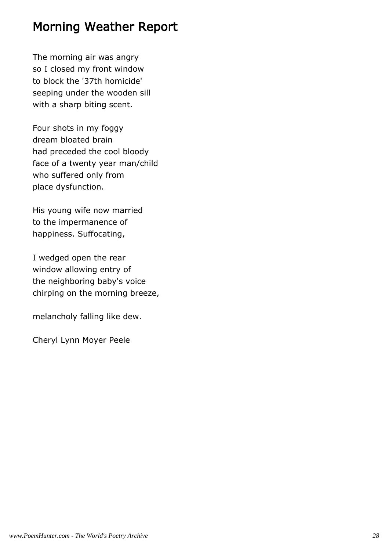#### Morning Weather Report

The morning air was angry so I closed my front window to block the '37th homicide' seeping under the wooden sill with a sharp biting scent.

Four shots in my foggy dream bloated brain had preceded the cool bloody face of a twenty year man/child who suffered only from place dysfunction.

His young wife now married to the impermanence of happiness. Suffocating,

I wedged open the rear window allowing entry of the neighboring baby's voice chirping on the morning breeze,

melancholy falling like dew.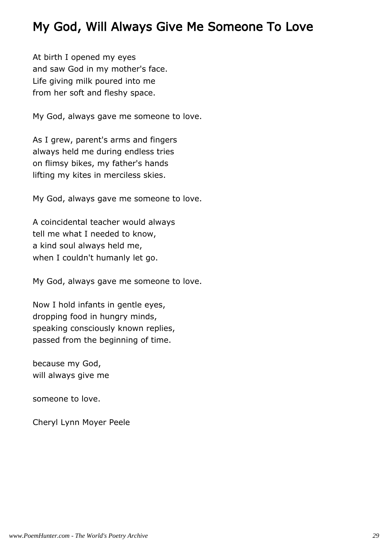### My God, Will Always Give Me Someone To Love

At birth I opened my eyes and saw God in my mother's face. Life giving milk poured into me from her soft and fleshy space.

My God, always gave me someone to love.

As I grew, parent's arms and fingers always held me during endless tries on flimsy bikes, my father's hands lifting my kites in merciless skies.

My God, always gave me someone to love.

A coincidental teacher would always tell me what I needed to know, a kind soul always held me, when I couldn't humanly let go.

My God, always gave me someone to love.

Now I hold infants in gentle eyes, dropping food in hungry minds, speaking consciously known replies, passed from the beginning of time.

because my God, will always give me

someone to love.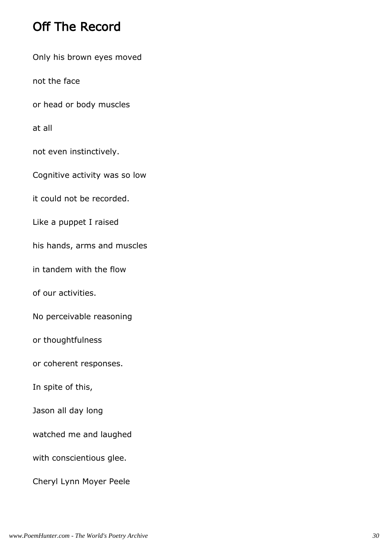# Off The Record

Only his brown eyes moved

not the face

or head or body muscles

at all

not even instinctively.

Cognitive activity was so low

it could not be recorded.

Like a puppet I raised

his hands, arms and muscles

in tandem with the flow

of our activities.

No perceivable reasoning

or thoughtfulness

or coherent responses.

In spite of this,

Jason all day long

watched me and laughed

with conscientious glee.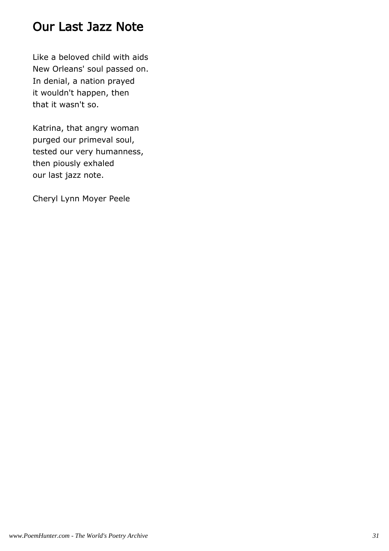#### Our Last Jazz Note

Like a beloved child with aids New Orleans' soul passed on. In denial, a nation prayed it wouldn't happen, then that it wasn't so.

Katrina, that angry woman purged our primeval soul, tested our very humanness, then piously exhaled our last jazz note.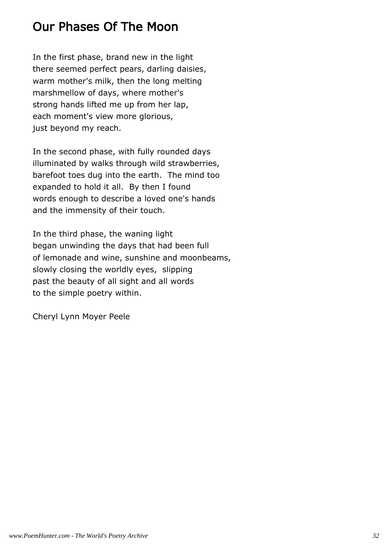# Our Phases Of The Moon

In the first phase, brand new in the light there seemed perfect pears, darling daisies, warm mother's milk, then the long melting marshmellow of days, where mother's strong hands lifted me up from her lap, each moment's view more glorious, just beyond my reach.

In the second phase, with fully rounded days illuminated by walks through wild strawberries, barefoot toes dug into the earth. The mind too expanded to hold it all. By then I found words enough to describe a loved one's hands and the immensity of their touch.

In the third phase, the waning light began unwinding the days that had been full of lemonade and wine, sunshine and moonbeams, slowly closing the worldly eyes, slipping past the beauty of all sight and all words to the simple poetry within.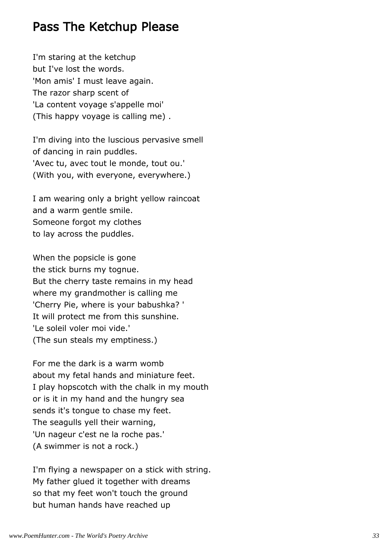#### Pass The Ketchup Please

I'm staring at the ketchup but I've lost the words. 'Mon amis' I must leave again. The razor sharp scent of 'La content voyage s'appelle moi' (This happy voyage is calling me) .

I'm diving into the luscious pervasive smell of dancing in rain puddles. 'Avec tu, avec tout le monde, tout ou.' (With you, with everyone, everywhere.)

I am wearing only a bright yellow raincoat and a warm gentle smile. Someone forgot my clothes to lay across the puddles.

When the popsicle is gone the stick burns my tognue. But the cherry taste remains in my head where my grandmother is calling me 'Cherry Pie, where is your babushka? ' It will protect me from this sunshine. 'Le soleil voler moi vide.' (The sun steals my emptiness.)

For me the dark is a warm womb about my fetal hands and miniature feet. I play hopscotch with the chalk in my mouth or is it in my hand and the hungry sea sends it's tongue to chase my feet. The seagulls yell their warning, 'Un nageur c'est ne la roche pas.' (A swimmer is not a rock.)

I'm flying a newspaper on a stick with string. My father glued it together with dreams so that my feet won't touch the ground but human hands have reached up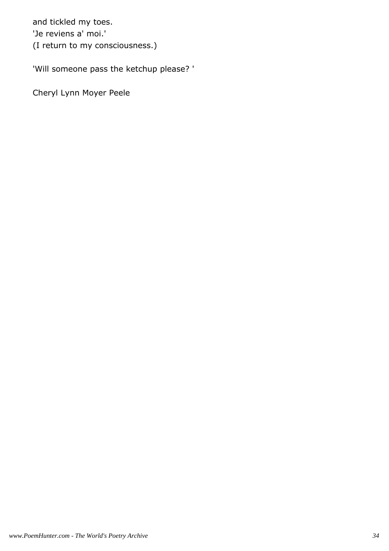and tickled my toes. 'Je reviens a' moi.' (I return to my consciousness.)

'Will someone pass the ketchup please? '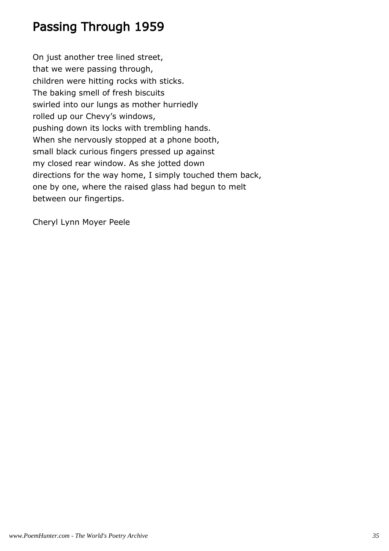### Passing Through 1959

On just another tree lined street, that we were passing through, children were hitting rocks with sticks. The baking smell of fresh biscuits swirled into our lungs as mother hurriedly rolled up our Chevy's windows, pushing down its locks with trembling hands. When she nervously stopped at a phone booth, small black curious fingers pressed up against my closed rear window. As she jotted down directions for the way home, I simply touched them back, one by one, where the raised glass had begun to melt between our fingertips.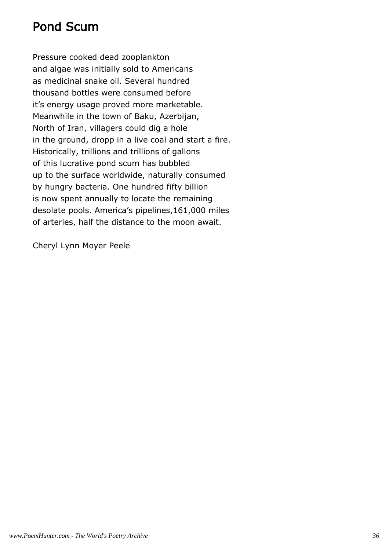#### Pond Scum

Pressure cooked dead zooplankton and algae was initially sold to Americans as medicinal snake oil. Several hundred thousand bottles were consumed before it's energy usage proved more marketable. Meanwhile in the town of Baku, Azerbijan, North of Iran, villagers could dig a hole in the ground, dropp in a live coal and start a fire. Historically, trillions and trillions of gallons of this lucrative pond scum has bubbled up to the surface worldwide, naturally consumed by hungry bacteria. One hundred fifty billion is now spent annually to locate the remaining desolate pools. America's pipelines,161,000 miles of arteries, half the distance to the moon await.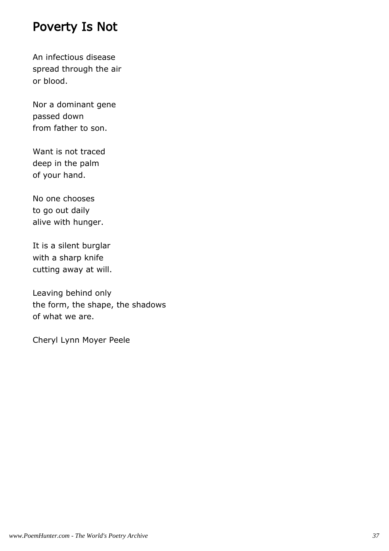#### Poverty Is Not

An infectious disease spread through the air or blood.

Nor a dominant gene passed down from father to son.

Want is not traced deep in the palm of your hand.

No one chooses to go out daily alive with hunger.

It is a silent burglar with a sharp knife cutting away at will.

Leaving behind only the form, the shape, the shadows of what we are.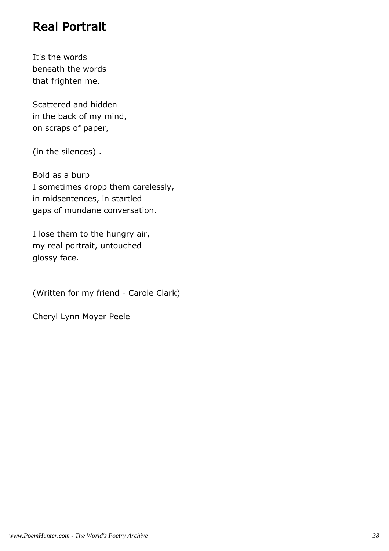#### Real Portrait

It's the words beneath the words that frighten me.

Scattered and hidden in the back of my mind, on scraps of paper,

(in the silences) .

Bold as a burp I sometimes dropp them carelessly, in midsentences, in startled gaps of mundane conversation.

I lose them to the hungry air, my real portrait, untouched glossy face.

(Written for my friend - Carole Clark)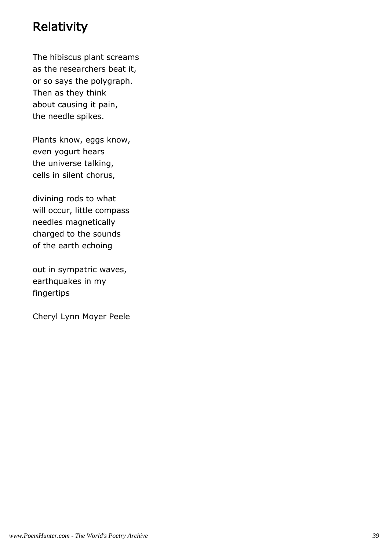# **Relativity**

The hibiscus plant screams as the researchers beat it, or so says the polygraph. Then as they think about causing it pain, the needle spikes.

Plants know, eggs know, even yogurt hears the universe talking, cells in silent chorus,

divining rods to what will occur, little compass needles magnetically charged to the sounds of the earth echoing

out in sympatric waves, earthquakes in my fingertips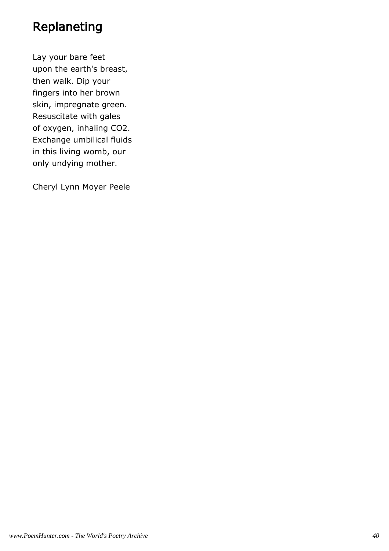#### Replaneting

Lay your bare feet upon the earth's breast, then walk. Dip your fingers into her brown skin, impregnate green. Resuscitate with gales of oxygen, inhaling CO2. Exchange umbilical fluids in this living womb, our only undying mother.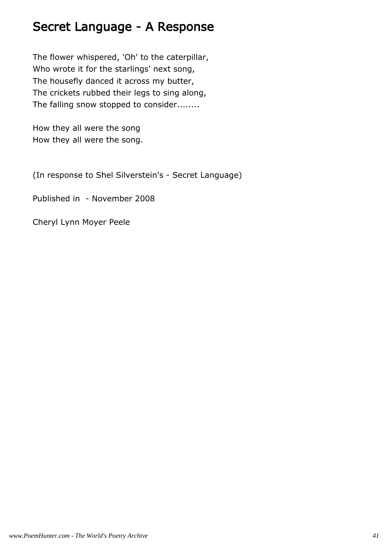#### Secret Language - A Response

The flower whispered, 'Oh' to the caterpillar, Who wrote it for the starlings' next song, The housefly danced it across my butter, The crickets rubbed their legs to sing along, The falling snow stopped to consider........

How they all were the song How they all were the song.

(In response to Shel Silverstein's - Secret Language)

Published in - November 2008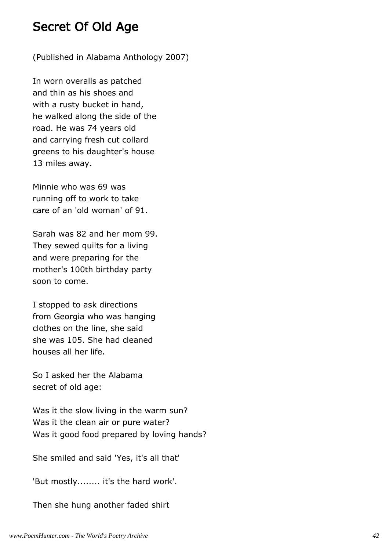#### Secret Of Old Age

(Published in Alabama Anthology 2007)

In worn overalls as patched and thin as his shoes and with a rusty bucket in hand, he walked along the side of the road. He was 74 years old and carrying fresh cut collard greens to his daughter's house 13 miles away.

Minnie who was 69 was running off to work to take care of an 'old woman' of 91.

Sarah was 82 and her mom 99. They sewed quilts for a living and were preparing for the mother's 100th birthday party soon to come.

I stopped to ask directions from Georgia who was hanging clothes on the line, she said she was 105. She had cleaned houses all her life.

So I asked her the Alabama secret of old age:

Was it the slow living in the warm sun? Was it the clean air or pure water? Was it good food prepared by loving hands?

She smiled and said 'Yes, it's all that'

'But mostly........ it's the hard work'.

Then she hung another faded shirt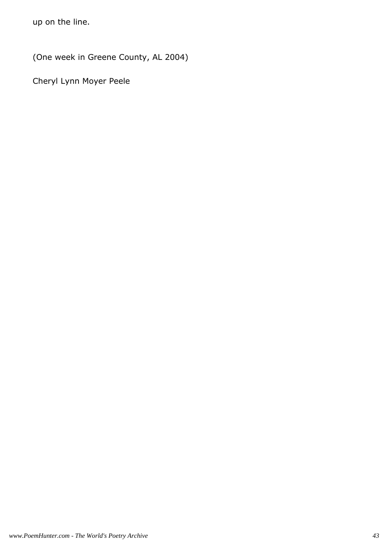up on the line.

(One week in Greene County, AL 2004)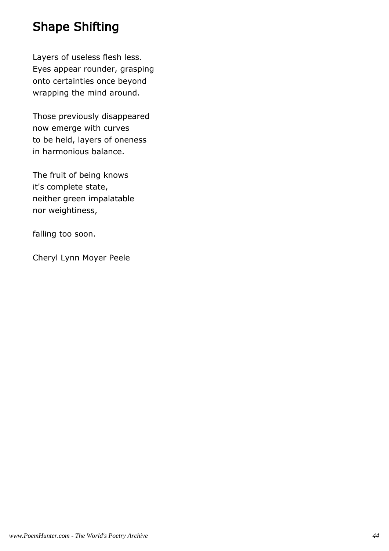### Shape Shifting

Layers of useless flesh less. Eyes appear rounder, grasping onto certainties once beyond wrapping the mind around.

Those previously disappeared now emerge with curves to be held, layers of oneness in harmonious balance.

The fruit of being knows it's complete state, neither green impalatable nor weightiness,

falling too soon.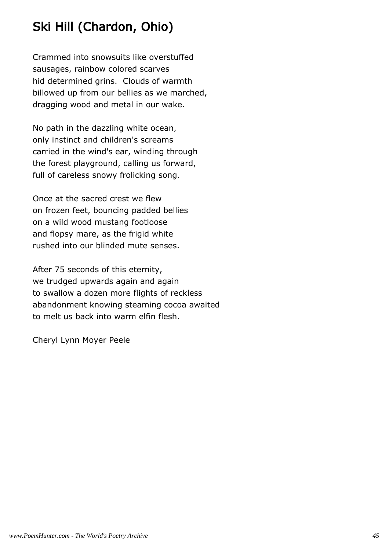# Ski Hill (Chardon, Ohio)

Crammed into snowsuits like overstuffed sausages, rainbow colored scarves hid determined grins. Clouds of warmth billowed up from our bellies as we marched, dragging wood and metal in our wake.

No path in the dazzling white ocean, only instinct and children's screams carried in the wind's ear, winding through the forest playground, calling us forward, full of careless snowy frolicking song.

Once at the sacred crest we flew on frozen feet, bouncing padded bellies on a wild wood mustang footloose and flopsy mare, as the frigid white rushed into our blinded mute senses.

After 75 seconds of this eternity, we trudged upwards again and again to swallow a dozen more flights of reckless abandonment knowing steaming cocoa awaited to melt us back into warm elfin flesh.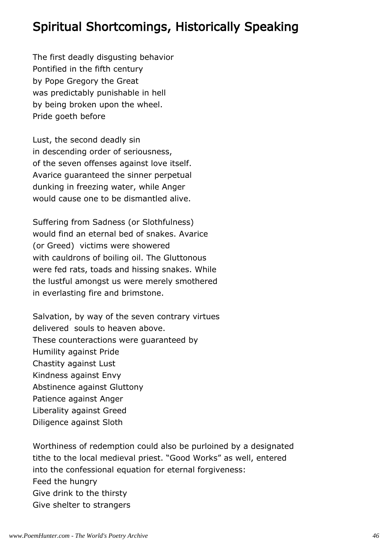#### Spiritual Shortcomings, Historically Speaking

The first deadly disgusting behavior Pontified in the fifth century by Pope Gregory the Great was predictably punishable in hell by being broken upon the wheel. Pride goeth before

Lust, the second deadly sin in descending order of seriousness, of the seven offenses against love itself. Avarice guaranteed the sinner perpetual dunking in freezing water, while Anger would cause one to be dismantled alive.

Suffering from Sadness (or Slothfulness) would find an eternal bed of snakes. Avarice (or Greed) victims were showered with cauldrons of boiling oil. The Gluttonous were fed rats, toads and hissing snakes. While the lustful amongst us were merely smothered in everlasting fire and brimstone.

Salvation, by way of the seven contrary virtues delivered souls to heaven above. These counteractions were guaranteed by Humility against Pride Chastity against Lust Kindness against Envy Abstinence against Gluttony Patience against Anger Liberality against Greed Diligence against Sloth

Worthiness of redemption could also be purloined by a designated tithe to the local medieval priest. "Good Works" as well, entered into the confessional equation for eternal forgiveness: Feed the hungry Give drink to the thirsty Give shelter to strangers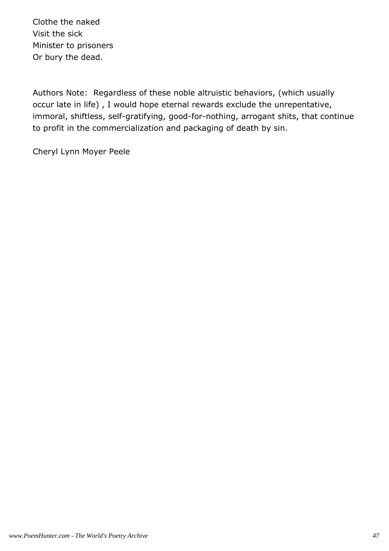Clothe the naked Visit the sick Minister to prisoners Or bury the dead.

Authors Note: Regardless of these noble altruistic behaviors, (which usually occur late in life) , I would hope eternal rewards exclude the unrepentative, immoral, shiftless, self-gratifying, good-for-nothing, arrogant shits, that continue to profit in the commercialization and packaging of death by sin.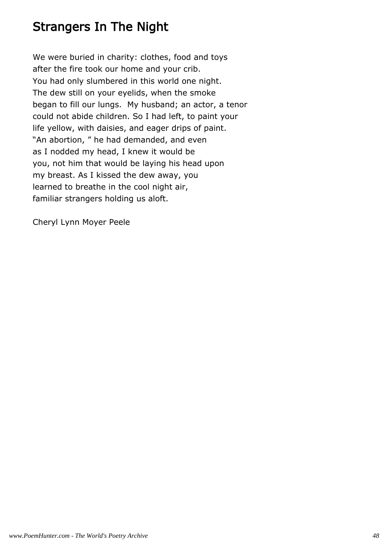#### Strangers In The Night

We were buried in charity: clothes, food and toys after the fire took our home and your crib. You had only slumbered in this world one night. The dew still on your eyelids, when the smoke began to fill our lungs. My husband; an actor, a tenor could not abide children. So I had left, to paint your life yellow, with daisies, and eager drips of paint. "An abortion, " he had demanded, and even as I nodded my head, I knew it would be you, not him that would be laying his head upon my breast. As I kissed the dew away, you learned to breathe in the cool night air, familiar strangers holding us aloft.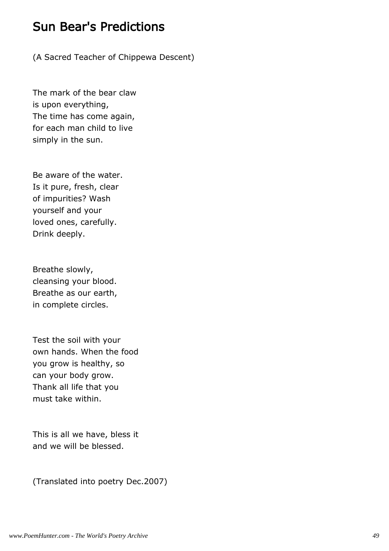#### Sun Bear's Predictions

(A Sacred Teacher of Chippewa Descent)

The mark of the bear claw is upon everything, The time has come again, for each man child to live simply in the sun.

Be aware of the water. Is it pure, fresh, clear of impurities? Wash yourself and your loved ones, carefully. Drink deeply.

Breathe slowly, cleansing your blood. Breathe as our earth, in complete circles.

Test the soil with your own hands. When the food you grow is healthy, so can your body grow. Thank all life that you must take within.

This is all we have, bless it and we will be blessed.

(Translated into poetry Dec.2007)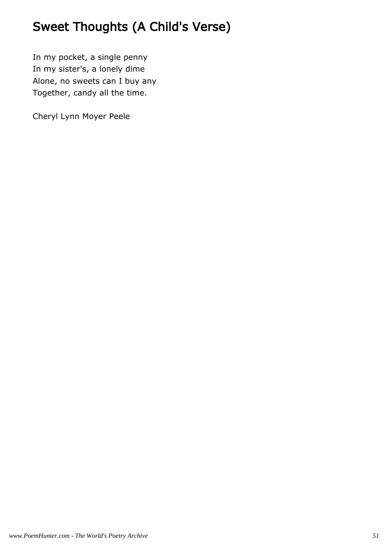# Sweet Thoughts (A Child's Verse)

In my pocket, a single penny In my sister's, a lonely dime Alone, no sweets can I buy any Together, candy all the time.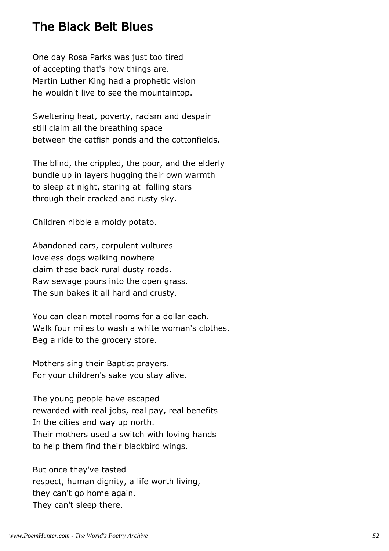#### The Black Belt Blues

One day Rosa Parks was just too tired of accepting that's how things are. Martin Luther King had a prophetic vision he wouldn't live to see the mountaintop.

Sweltering heat, poverty, racism and despair still claim all the breathing space between the catfish ponds and the cottonfields.

The blind, the crippled, the poor, and the elderly bundle up in layers hugging their own warmth to sleep at night, staring at falling stars through their cracked and rusty sky.

Children nibble a moldy potato.

Abandoned cars, corpulent vultures loveless dogs walking nowhere claim these back rural dusty roads. Raw sewage pours into the open grass. The sun bakes it all hard and crusty.

You can clean motel rooms for a dollar each. Walk four miles to wash a white woman's clothes. Beg a ride to the grocery store.

Mothers sing their Baptist prayers. For your children's sake you stay alive.

The young people have escaped rewarded with real jobs, real pay, real benefits In the cities and way up north. Their mothers used a switch with loving hands to help them find their blackbird wings.

But once they've tasted respect, human dignity, a life worth living, they can't go home again. They can't sleep there.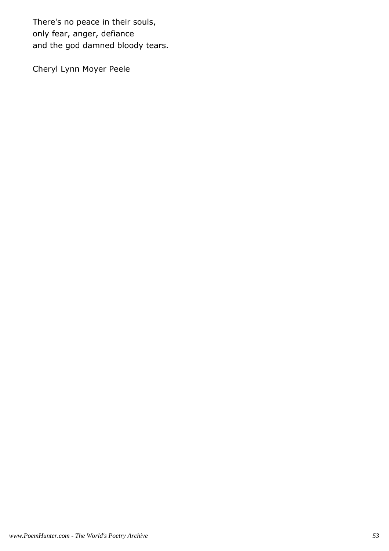There's no peace in their souls, only fear, anger, defiance and the god damned bloody tears.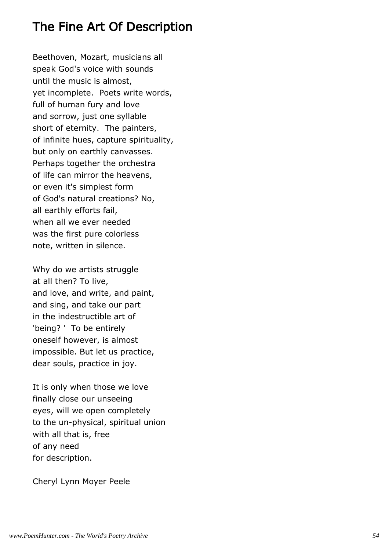#### The Fine Art Of Description

Beethoven, Mozart, musicians all speak God's voice with sounds until the music is almost, yet incomplete. Poets write words, full of human fury and love and sorrow, just one syllable short of eternity. The painters, of infinite hues, capture spirituality, but only on earthly canvasses. Perhaps together the orchestra of life can mirror the heavens, or even it's simplest form of God's natural creations? No, all earthly efforts fail, when all we ever needed was the first pure colorless note, written in silence.

Why do we artists struggle at all then? To live, and love, and write, and paint, and sing, and take our part in the indestructible art of 'being? ' To be entirely oneself however, is almost impossible. But let us practice, dear souls, practice in joy.

It is only when those we love finally close our unseeing eyes, will we open completely to the un-physical, spiritual union with all that is, free of any need for description.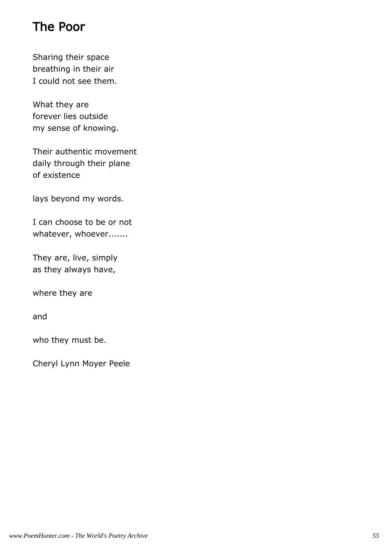# The Poor

Sharing their space breathing in their air I could not see them.

What they are forever lies outside my sense of knowing.

Their authentic movement daily through their plane of existence

lays beyond my words.

I can choose to be or not whatever, whoever.......

They are, live, simply as they always have,

where they are

and

who they must be.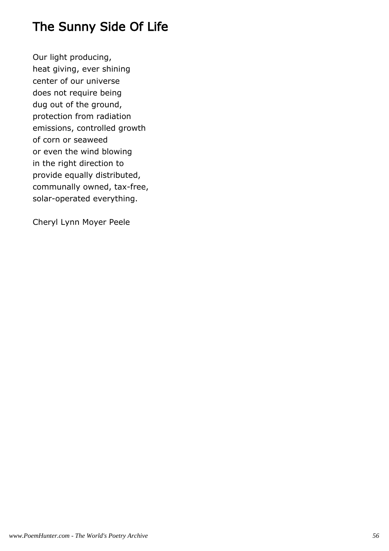# The Sunny Side Of Life

Our light producing, heat giving, ever shining center of our universe does not require being dug out of the ground, protection from radiation emissions, controlled growth of corn or seaweed or even the wind blowing in the right direction to provide equally distributed, communally owned, tax-free, solar-operated everything.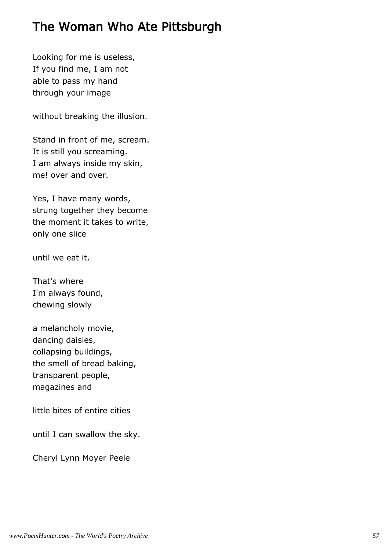### The Woman Who Ate Pittsburgh

Looking for me is useless, If you find me, I am not able to pass my hand through your image

without breaking the illusion.

Stand in front of me, scream. It is still you screaming. I am always inside my skin, me! over and over.

Yes, I have many words, strung together they become the moment it takes to write, only one slice

until we eat it.

That's where I'm always found, chewing slowly

a melancholy movie, dancing daisies, collapsing buildings, the smell of bread baking, transparent people, magazines and

little bites of entire cities

until I can swallow the sky.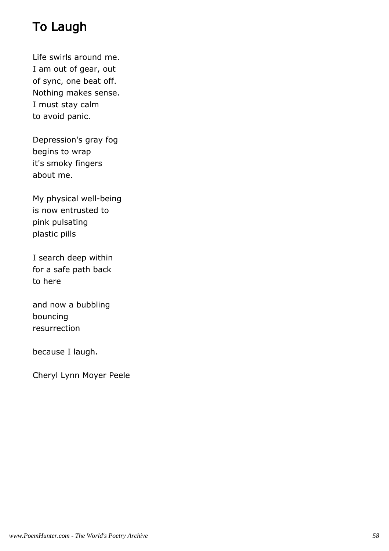# To Laugh

Life swirls around me. I am out of gear, out of sync, one beat off. Nothing makes sense. I must stay calm to avoid panic.

Depression's gray fog begins to wrap it's smoky fingers about me.

My physical well-being is now entrusted to pink pulsating plastic pills

I search deep within for a safe path back to here

and now a bubbling bouncing resurrection

because I laugh.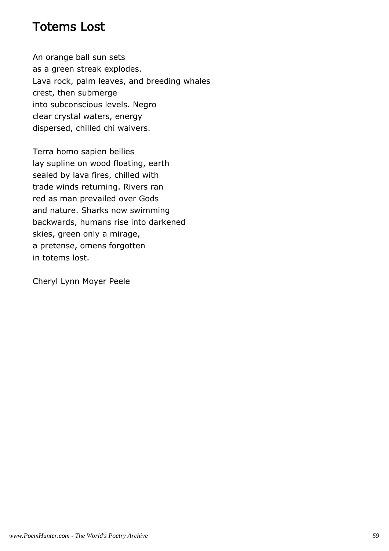#### Totems Lost

An orange ball sun sets as a green streak explodes. Lava rock, palm leaves, and breeding whales crest, then submerge into subconscious levels. Negro clear crystal waters, energy dispersed, chilled chi waivers.

Terra homo sapien bellies lay supline on wood floating, earth sealed by lava fires, chilled with trade winds returning. Rivers ran red as man prevailed over Gods and nature. Sharks now swimming backwards, humans rise into darkened skies, green only a mirage, a pretense, omens forgotten in totems lost.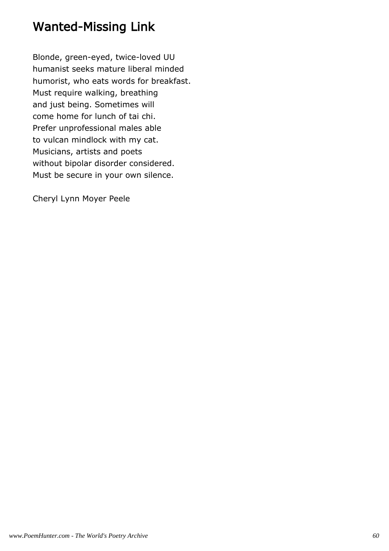#### Wanted-Missing Link

Blonde, green-eyed, twice-loved UU humanist seeks mature liberal minded humorist, who eats words for breakfast. Must require walking, breathing and just being. Sometimes will come home for lunch of tai chi. Prefer unprofessional males able to vulcan mindlock with my cat. Musicians, artists and poets without bipolar disorder considered. Must be secure in your own silence.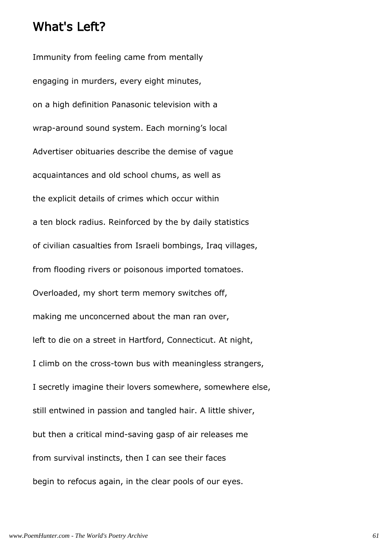#### What's Left?

Immunity from feeling came from mentally engaging in murders, every eight minutes, on a high definition Panasonic television with a wrap-around sound system. Each morning's local Advertiser obituaries describe the demise of vague acquaintances and old school chums, as well as the explicit details of crimes which occur within a ten block radius. Reinforced by the by daily statistics of civilian casualties from Israeli bombings, Iraq villages, from flooding rivers or poisonous imported tomatoes. Overloaded, my short term memory switches off, making me unconcerned about the man ran over, left to die on a street in Hartford, Connecticut. At night, I climb on the cross-town bus with meaningless strangers, I secretly imagine their lovers somewhere, somewhere else, still entwined in passion and tangled hair. A little shiver, but then a critical mind-saving gasp of air releases me from survival instincts, then I can see their faces begin to refocus again, in the clear pools of our eyes.